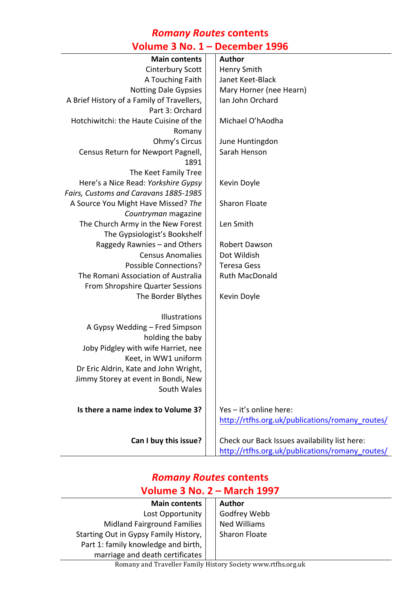#### *Romany Routes* **contents Volume 3 No. 1 – December 1996**

| <b>Main contents</b>                       | <b>Author</b>                                   |
|--------------------------------------------|-------------------------------------------------|
| Cinterbury Scott                           | <b>Henry Smith</b>                              |
| A Touching Faith                           | Janet Keet-Black                                |
| <b>Notting Dale Gypsies</b>                | Mary Horner (nee Hearn)                         |
| A Brief History of a Family of Travellers, | Ian John Orchard                                |
| Part 3: Orchard                            |                                                 |
| Hotchiwitchi: the Haute Cuisine of the     | Michael O'hAodha                                |
| Romany                                     |                                                 |
| Ohmy's Circus                              | June Huntingdon                                 |
| Census Return for Newport Pagnell,         | Sarah Henson                                    |
| 1891                                       |                                                 |
| The Keet Family Tree                       |                                                 |
| Here's a Nice Read: Yorkshire Gypsy        | Kevin Doyle                                     |
| Fairs, Customs and Caravans 1885-1985      |                                                 |
| A Source You Might Have Missed? The        | <b>Sharon Floate</b>                            |
| Countryman magazine                        |                                                 |
| The Church Army in the New Forest          | Len Smith                                       |
| The Gypsiologist's Bookshelf               |                                                 |
| Raggedy Rawnies - and Others               | <b>Robert Dawson</b>                            |
| <b>Census Anomalies</b>                    | Dot Wildish                                     |
| <b>Possible Connections?</b>               | <b>Teresa Gess</b>                              |
| The Romani Association of Australia        | <b>Ruth MacDonald</b>                           |
| From Shropshire Quarter Sessions           |                                                 |
| The Border Blythes                         | Kevin Doyle                                     |
|                                            |                                                 |
| Illustrations                              |                                                 |
| A Gypsy Wedding - Fred Simpson             |                                                 |
| holding the baby                           |                                                 |
| Joby Pidgley with wife Harriet, nee        |                                                 |
| Keet, in WW1 uniform                       |                                                 |
| Dr Eric Aldrin, Kate and John Wright,      |                                                 |
| Jimmy Storey at event in Bondi, New        |                                                 |
| South Wales                                |                                                 |
| Is there a name index to Volume 3?         | Yes - it's online here:                         |
|                                            |                                                 |
|                                            | http://rtfhs.org.uk/publications/romany_routes/ |
| Can I buy this issue?                      | Check our Back Issues availability list here:   |
|                                            | http://rtfhs.org.uk/publications/romany routes/ |
|                                            |                                                 |

## *Romany Routes* **contents Volume 3 No. 2 – March 1997**

| <b>Main contents</b>                  | <b>Author</b>       |
|---------------------------------------|---------------------|
| Lost Opportunity                      | Godfrey Webb        |
| <b>Midland Fairground Families</b>    | <b>Ned Williams</b> |
| Starting Out in Gypsy Family History, | Sharon Floate       |
| Part 1: family knowledge and birth,   |                     |
| marriage and death certificates       |                     |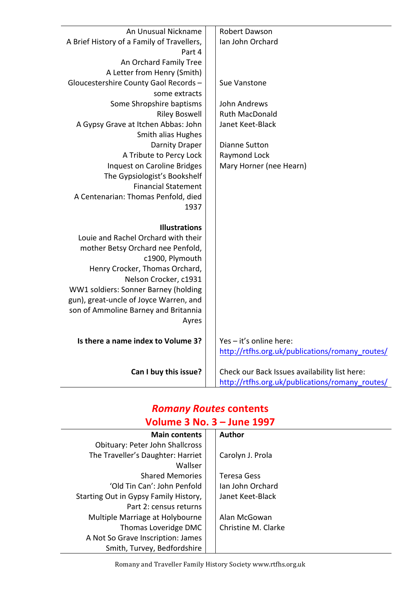| An Unusual Nickname                        | <b>Robert Dawson</b>                            |
|--------------------------------------------|-------------------------------------------------|
| A Brief History of a Family of Travellers, | Ian John Orchard                                |
| Part 4                                     |                                                 |
| An Orchard Family Tree                     |                                                 |
| A Letter from Henry (Smith)                |                                                 |
| Gloucestershire County Gaol Records -      | Sue Vanstone                                    |
| some extracts                              |                                                 |
| Some Shropshire baptisms                   | John Andrews                                    |
| <b>Riley Boswell</b>                       | <b>Ruth MacDonald</b>                           |
| A Gypsy Grave at Itchen Abbas: John        | Janet Keet-Black                                |
| Smith alias Hughes                         |                                                 |
| <b>Darnity Draper</b>                      | <b>Dianne Sutton</b>                            |
| A Tribute to Percy Lock                    | Raymond Lock                                    |
| Inquest on Caroline Bridges                | Mary Horner (nee Hearn)                         |
| The Gypsiologist's Bookshelf               |                                                 |
| <b>Financial Statement</b>                 |                                                 |
| A Centenarian: Thomas Penfold, died        |                                                 |
| 1937                                       |                                                 |
|                                            |                                                 |
| <b>Illustrations</b>                       |                                                 |
| Louie and Rachel Orchard with their        |                                                 |
| mother Betsy Orchard nee Penfold,          |                                                 |
| c1900, Plymouth                            |                                                 |
| Henry Crocker, Thomas Orchard,             |                                                 |
| Nelson Crocker, c1931                      |                                                 |
| WW1 soldiers: Sonner Barney (holding       |                                                 |
| gun), great-uncle of Joyce Warren, and     |                                                 |
| son of Ammoline Barney and Britannia       |                                                 |
| Ayres                                      |                                                 |
|                                            |                                                 |
| Is there a name index to Volume 3?         | Yes - it's online here:                         |
|                                            | http://rtfhs.org.uk/publications/romany routes/ |
|                                            |                                                 |
| Can I buy this issue?                      | Check our Back Issues availability list here:   |
|                                            | http://rtfhs.org.uk/publications/romany_routes/ |

## *Romany Routes* **contents Volume 3 No. 3 – June 1997**

| <b>Main contents</b>                   |  | <b>Author</b>       |
|----------------------------------------|--|---------------------|
| <b>Obituary: Peter John Shallcross</b> |  |                     |
| The Traveller's Daughter: Harriet      |  | Carolyn J. Prola    |
| Wallser                                |  |                     |
| <b>Shared Memories</b>                 |  | <b>Teresa Gess</b>  |
| 'Old Tin Can': John Penfold            |  | Ian John Orchard    |
| Starting Out in Gypsy Family History,  |  | Janet Keet-Black    |
| Part 2: census returns                 |  |                     |
| Multiple Marriage at Holybourne        |  | Alan McGowan        |
| Thomas Loveridge DMC                   |  | Christine M. Clarke |
| A Not So Grave Inscription: James      |  |                     |
| Smith, Turvey, Bedfordshire            |  |                     |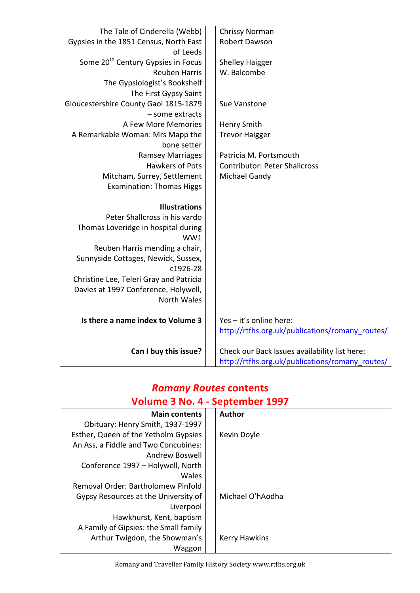| The Tale of Cinderella (Webb)                  | Chrissy Norman                                  |
|------------------------------------------------|-------------------------------------------------|
| Gypsies in the 1851 Census, North East         | <b>Robert Dawson</b>                            |
| of Leeds                                       |                                                 |
| Some 20 <sup>th</sup> Century Gypsies in Focus | <b>Shelley Haigger</b>                          |
| <b>Reuben Harris</b>                           | W. Balcombe                                     |
| The Gypsiologist's Bookshelf                   |                                                 |
| The First Gypsy Saint                          |                                                 |
| Gloucestershire County Gaol 1815-1879          | Sue Vanstone                                    |
| - some extracts                                |                                                 |
| A Few More Memories                            | <b>Henry Smith</b>                              |
| A Remarkable Woman: Mrs Mapp the               | <b>Trevor Haigger</b>                           |
| bone setter                                    |                                                 |
| <b>Ramsey Marriages</b>                        | Patricia M. Portsmouth                          |
| <b>Hawkers of Pots</b>                         | <b>Contributor: Peter Shallcross</b>            |
| Mitcham, Surrey, Settlement                    | Michael Gandy                                   |
| <b>Examination: Thomas Higgs</b>               |                                                 |
|                                                |                                                 |
| <b>Illustrations</b>                           |                                                 |
| Peter Shallcross in his vardo                  |                                                 |
| Thomas Loveridge in hospital during            |                                                 |
| WW1                                            |                                                 |
| Reuben Harris mending a chair,                 |                                                 |
| Sunnyside Cottages, Newick, Sussex,            |                                                 |
| c1926-28                                       |                                                 |
| Christine Lee, Teleri Gray and Patricia        |                                                 |
| Davies at 1997 Conference, Holywell,           |                                                 |
| <b>North Wales</b>                             |                                                 |
|                                                |                                                 |
| Is there a name index to Volume 3              | Yes - it's online here:                         |
|                                                | http://rtfhs.org.uk/publications/romany_routes/ |
|                                                |                                                 |
| Can I buy this issue?                          | Check our Back Issues availability list here:   |
|                                                | http://rtfhs.org.uk/publications/romany routes/ |

# *Romany Routes* **contents Volume 3 No. 4 - September 1997**

| <b>Main contents</b>                  | <b>Author</b>        |
|---------------------------------------|----------------------|
| Obituary: Henry Smith, 1937-1997      |                      |
| Esther, Queen of the Yetholm Gypsies  | Kevin Doyle          |
| An Ass, a Fiddle and Two Concubines:  |                      |
| Andrew Boswell                        |                      |
| Conference 1997 - Holywell, North     |                      |
| Wales                                 |                      |
| Removal Order: Bartholomew Pinfold    |                      |
| Gypsy Resources at the University of  | Michael O'hAodha     |
| Liverpool                             |                      |
| Hawkhurst, Kent, baptism              |                      |
| A Family of Gipsies: the Small family |                      |
| Arthur Twigdon, the Showman's         | <b>Kerry Hawkins</b> |
| Waggon                                |                      |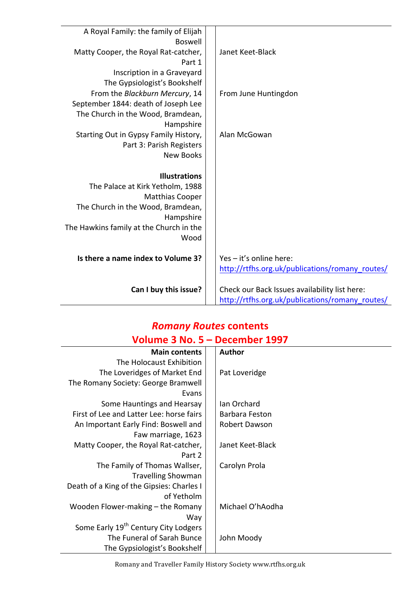| A Royal Family: the family of Elijah    |                                                 |
|-----------------------------------------|-------------------------------------------------|
| <b>Boswell</b>                          |                                                 |
| Matty Cooper, the Royal Rat-catcher,    | Janet Keet-Black                                |
| Part 1                                  |                                                 |
| Inscription in a Graveyard              |                                                 |
| The Gypsiologist's Bookshelf            |                                                 |
| From the Blackburn Mercury, 14          | From June Huntingdon                            |
| September 1844: death of Joseph Lee     |                                                 |
| The Church in the Wood, Bramdean,       |                                                 |
| Hampshire                               |                                                 |
| Starting Out in Gypsy Family History,   | Alan McGowan                                    |
| Part 3: Parish Registers                |                                                 |
| <b>New Books</b>                        |                                                 |
|                                         |                                                 |
| <b>Illustrations</b>                    |                                                 |
| The Palace at Kirk Yetholm, 1988        |                                                 |
| <b>Matthias Cooper</b>                  |                                                 |
| The Church in the Wood, Bramdean,       |                                                 |
| Hampshire                               |                                                 |
| The Hawkins family at the Church in the |                                                 |
| Wood                                    |                                                 |
| Is there a name index to Volume 3?      | Yes - it's online here:                         |
|                                         | http://rtfhs.org.uk/publications/romany routes/ |
|                                         |                                                 |
| Can I buy this issue?                   | Check our Back Issues availability list here:   |
|                                         | http://rtfhs.org.uk/publications/romany_routes/ |

#### *Romany Routes* **contents Volume 3 No. 5 – December 1997**

| <b>Main contents</b>                             | <b>Author</b>    |
|--------------------------------------------------|------------------|
| The Holocaust Exhibition                         |                  |
| The Loveridges of Market End                     | Pat Loveridge    |
| The Romany Society: George Bramwell              |                  |
| Evans                                            |                  |
| Some Hauntings and Hearsay                       | Ian Orchard      |
| First of Lee and Latter Lee: horse fairs         | Barbara Feston   |
| An Important Early Find: Boswell and             | Robert Dawson    |
| Faw marriage, 1623                               |                  |
| Matty Cooper, the Royal Rat-catcher,             | Janet Keet-Black |
| Part 2                                           |                  |
| The Family of Thomas Wallser,                    | Carolyn Prola    |
| <b>Travelling Showman</b>                        |                  |
| Death of a King of the Gipsies: Charles I        |                  |
| of Yetholm                                       |                  |
| Wooden Flower-making – the Romany                | Michael O'hAodha |
| Way                                              |                  |
| Some Early 19 <sup>th</sup> Century City Lodgers |                  |
| The Funeral of Sarah Bunce                       | John Moody       |
| The Gypsiologist's Bookshelf                     |                  |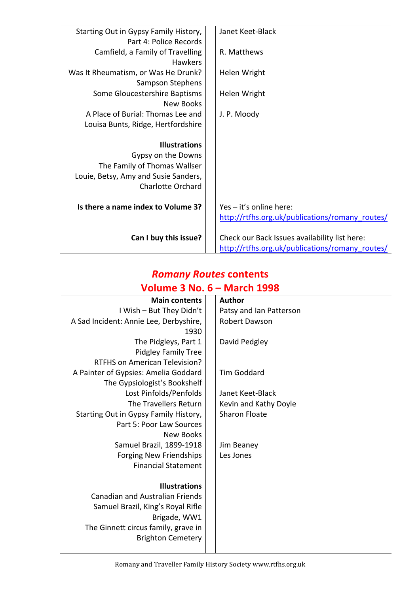| Starting Out in Gypsy Family History, | Janet Keet-Black                                |
|---------------------------------------|-------------------------------------------------|
| Part 4: Police Records                |                                                 |
| Camfield, a Family of Travelling      | R. Matthews                                     |
| <b>Hawkers</b>                        |                                                 |
| Was It Rheumatism, or Was He Drunk?   | Helen Wright                                    |
| Sampson Stephens                      |                                                 |
| Some Gloucestershire Baptisms         | Helen Wright                                    |
| New Books                             |                                                 |
| A Place of Burial: Thomas Lee and     | J. P. Moody                                     |
| Louisa Bunts, Ridge, Hertfordshire    |                                                 |
|                                       |                                                 |
| <b>Illustrations</b>                  |                                                 |
| Gypsy on the Downs                    |                                                 |
| The Family of Thomas Wallser          |                                                 |
| Louie, Betsy, Amy and Susie Sanders,  |                                                 |
| <b>Charlotte Orchard</b>              |                                                 |
|                                       |                                                 |
| Is there a name index to Volume 3?    | Yes - it's online here:                         |
|                                       | http://rtfhs.org.uk/publications/romany_routes/ |
|                                       |                                                 |
| Can I buy this issue?                 | Check our Back Issues availability list here:   |
|                                       | http://rtfhs.org.uk/publications/romany_routes/ |

### *Romany Routes* **contents Volume 3 No. 6 – March 1998**

| <b>Main contents</b>                   | <b>Author</b>           |
|----------------------------------------|-------------------------|
| I Wish - But They Didn't               | Patsy and Ian Patterson |
| A Sad Incident: Annie Lee, Derbyshire, | Robert Dawson           |
| 1930                                   |                         |
| The Pidgleys, Part 1                   | David Pedgley           |
| <b>Pidgley Family Tree</b>             |                         |
| <b>RTFHS on American Television?</b>   |                         |
| A Painter of Gypsies: Amelia Goddard   | <b>Tim Goddard</b>      |
| The Gypsiologist's Bookshelf           |                         |
| Lost Pinfolds/Penfolds                 | Janet Keet-Black        |
| The Travellers Return                  | Kevin and Kathy Doyle   |
| Starting Out in Gypsy Family History,  | <b>Sharon Floate</b>    |
| Part 5: Poor Law Sources               |                         |
| New Books                              |                         |
| Samuel Brazil, 1899-1918               | Jim Beaney              |
| <b>Forging New Friendships</b>         | Les Jones               |
| <b>Financial Statement</b>             |                         |
|                                        |                         |
| <b>Illustrations</b>                   |                         |
| <b>Canadian and Australian Friends</b> |                         |
| Samuel Brazil, King's Royal Rifle      |                         |
| Brigade, WW1                           |                         |
| The Ginnett circus family, grave in    |                         |
| <b>Brighton Cemetery</b>               |                         |
|                                        |                         |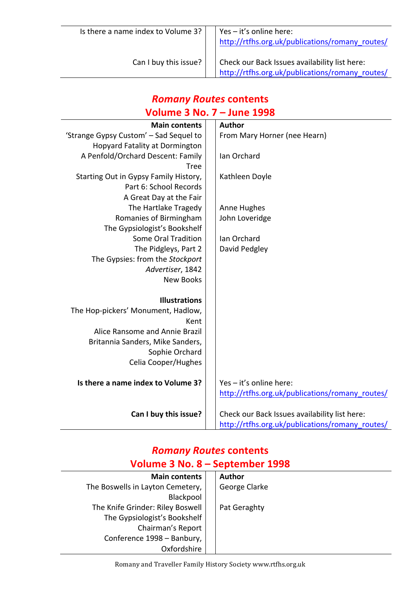| Is there a name index to Volume 3? | Yes - it's online here:<br>http://rtfhs.org.uk/publications/romany routes/                       |
|------------------------------------|--------------------------------------------------------------------------------------------------|
| Can I buy this issue?              | Check our Back Issues availability list here:<br>http://rtfhs.org.uk/publications/romany routes/ |

## *Romany Routes* **contents Volume 3 No. 7 – June 1998**

| <b>Main contents</b>                   | <b>Author</b>                                   |
|----------------------------------------|-------------------------------------------------|
| 'Strange Gypsy Custom' - Sad Sequel to | From Mary Horner (nee Hearn)                    |
| <b>Hopyard Fatality at Dormington</b>  |                                                 |
| A Penfold/Orchard Descent: Family      | Ian Orchard                                     |
| Tree                                   |                                                 |
| Starting Out in Gypsy Family History,  | Kathleen Doyle                                  |
| Part 6: School Records                 |                                                 |
| A Great Day at the Fair                |                                                 |
| The Hartlake Tragedy                   | Anne Hughes                                     |
| Romanies of Birmingham                 | John Loveridge                                  |
| The Gypsiologist's Bookshelf           |                                                 |
| <b>Some Oral Tradition</b>             | Ian Orchard                                     |
| The Pidgleys, Part 2                   | David Pedgley                                   |
| The Gypsies: from the Stockport        |                                                 |
| Advertiser, 1842                       |                                                 |
| <b>New Books</b>                       |                                                 |
|                                        |                                                 |
| <b>Illustrations</b>                   |                                                 |
| The Hop-pickers' Monument, Hadlow,     |                                                 |
| Kent                                   |                                                 |
| Alice Ransome and Annie Brazil         |                                                 |
| Britannia Sanders, Mike Sanders,       |                                                 |
| Sophie Orchard                         |                                                 |
| Celia Cooper/Hughes                    |                                                 |
|                                        |                                                 |
| Is there a name index to Volume 3?     | Yes - it's online here:                         |
|                                        | http://rtfhs.org.uk/publications/romany routes/ |
| Can I buy this issue?                  | Check our Back Issues availability list here:   |
|                                        | http://rtfhs.org.uk/publications/romany_routes/ |

## *Romany Routes* **contents Volume 3 No. 8 – September 1998**

| <b>Main contents</b>             | <b>Author</b> |
|----------------------------------|---------------|
| The Boswells in Layton Cemetery, | George Clarke |
| Blackpool                        |               |
| The Knife Grinder: Riley Boswell | Pat Geraghty  |
| The Gypsiologist's Bookshelf     |               |
| Chairman's Report                |               |
| Conference 1998 - Banbury,       |               |
| Oxfordshire                      |               |